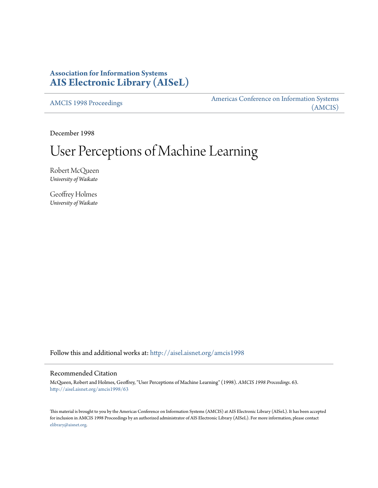# **Association for Information Systems [AIS Electronic Library \(AISeL\)](http://aisel.aisnet.org?utm_source=aisel.aisnet.org%2Famcis1998%2F63&utm_medium=PDF&utm_campaign=PDFCoverPages)**

[AMCIS 1998 Proceedings](http://aisel.aisnet.org/amcis1998?utm_source=aisel.aisnet.org%2Famcis1998%2F63&utm_medium=PDF&utm_campaign=PDFCoverPages)

[Americas Conference on Information Systems](http://aisel.aisnet.org/amcis?utm_source=aisel.aisnet.org%2Famcis1998%2F63&utm_medium=PDF&utm_campaign=PDFCoverPages) [\(AMCIS\)](http://aisel.aisnet.org/amcis?utm_source=aisel.aisnet.org%2Famcis1998%2F63&utm_medium=PDF&utm_campaign=PDFCoverPages)

December 1998

# User Perceptions of Machine Learning

Robert McQueen *University of Waikato*

Geoffrey Holmes *University of Waikato*

Follow this and additional works at: [http://aisel.aisnet.org/amcis1998](http://aisel.aisnet.org/amcis1998?utm_source=aisel.aisnet.org%2Famcis1998%2F63&utm_medium=PDF&utm_campaign=PDFCoverPages)

# Recommended Citation

McQueen, Robert and Holmes, Geoffrey, "User Perceptions of Machine Learning" (1998). *AMCIS 1998 Proceedings*. 63. [http://aisel.aisnet.org/amcis1998/63](http://aisel.aisnet.org/amcis1998/63?utm_source=aisel.aisnet.org%2Famcis1998%2F63&utm_medium=PDF&utm_campaign=PDFCoverPages)

This material is brought to you by the Americas Conference on Information Systems (AMCIS) at AIS Electronic Library (AISeL). It has been accepted for inclusion in AMCIS 1998 Proceedings by an authorized administrator of AIS Electronic Library (AISeL). For more information, please contact [elibrary@aisnet.org.](mailto:elibrary@aisnet.org%3E)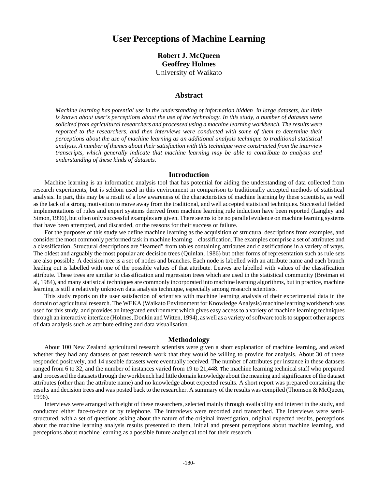# **User Perceptions of Machine Learning**

# **Robert J. McQueen Geoffrey Holmes** University of Waikato

# **Abstract**

*Machine learning has potential use in the understanding of information hidden in large datasets, but little is known about user's perceptions about the use of the technology. In this study, a number of datasets were solicited from agricultural researchers and processed using a machine learning workbench. The results were reported to the researchers, and then interviews were conducted with some of them to determine their perceptions about the use of machine learning as an additional analysis technique to traditional statistical analysis. A number of themes about their satisfaction with this technique were constructed from the interview transcripts, which generally indicate that machine learning may be able to contribute to analysis and understanding of these kinds of datasets.*

#### **Introduction**

Machine learning is an information analysis tool that has potential for aiding the understanding of data collected from research experiments, but is seldom used in this environment in comparison to traditionally accepted methods of statistical analysis. In part, this may be a result of a low awareness of the characteristics of machine learning by these scientists, as well as the lack of a strong motivation to move away from the traditional, and well accepted statistical techniques. Successful fielded implementations of rules and expert systems derived from machine learning rule induction have been reported (Langley and Simon, 1996), but often only successful examples are given. There seems to be no parallel evidence on machine learning systems that have been attempted, and discarded, or the reasons for their success or failure.

For the purposes of this study we define machine learning as the acquisition of structural descriptions from examples, and consider the most commonly performed task in machine learning—classification. The examples comprise a set of attributes and a classification. Structural descriptions are "learned" from tables containing attributes and classifications in a variety of ways. The oldest and arguably the most popular are decision trees (Quinlan, 1986) but other forms of representation such as rule sets are also possible. A decision tree is a set of nodes and branches. Each node is labelled with an attribute name and each branch leading out is labelled with one of the possible values of that attribute. Leaves are labelled with values of the classification attribute. These trees are similar to classification and regression trees which are used in the statistical community (Breiman et al, 1984), and many statistical techniques are commonly incorporated into machine learning algorithms, but in practice, machine learning is still a relatively unknown data analysis technique, especially among research scientists.

This study reports on the user satisfaction of scientists with machine learning analysis of their experimental data in the domain of agricultural research. The WEKA (Waikato Environment for Knowledge Analysis) machine learning workbench was used for this study, and provides an integrated environment which gives easy access to a variety of machine learning techniques through an interactive interface (Holmes, Donkin and Witten, 1994), as well as a variety of software tools to support other aspects of data analysis such as attribute editing and data visualisation.

## **Methodology**

About 100 New Zealand agricultural research scientists were given a short explanation of machine learning, and asked whether they had any datasets of past research work that they would be willing to provide for analysis. About 30 of these responded positively, and 14 useable datasets were eventually received. The number of attributes per instance in these datasets ranged from 6 to 32, and the number of instances varied from 19 to 21,448. The machine learning technical staff who prepared and processed the datasets through the workbench had little domain knowledge about the meaning and significance of the dataset attributes (other than the attribute name) and no knowledge about expected results. A short report was prepared containing the results and decision trees and was posted back to the researcher. A summary of the results was compiled (Thomson & McQueen, 1996).

Interviews were arranged with eight of these researchers, selected mainly through availability and interest in the study, and conducted either face-to-face or by telephone. The interviews were recorded and transcribed. The interviews were semistructured, with a set of questions asking about the nature of the original investigation, original expected results, perceptions about the machine learning analysis results presented to them, initial and present perceptions about machine learning, and perceptions about machine learning as a possible future analytical tool for their research.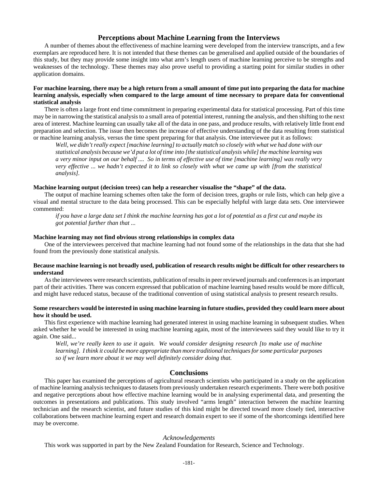## **Perceptions about Machine Learning from the Interviews**

A number of themes about the effectiveness of machine learning were developed from the interview transcripts, and a few exemplars are reproduced here. It is not intended that these themes can be generalised and applied outside of the boundaries of this study, but they may provide some insight into what arm's length users of machine learning perceive to be strengths and weaknesses of the technology. These themes may also prove useful to providing a starting point for similar studies in other application domains.

### **For machine learning, there may be a high return from a small amount of time put into preparing the data for machine learning analysis, especially when compared to the large amount of time necessary to prepare data for conventional statistical analysis**

There is often a large front end time commitment in preparing experimental data for statistical processing. Part of this time may be in narrowing the statistical analysis to a small area of potential interest, running the analysis, and then shifting to the next area of interest. Machine learning can usually take all of the data in one pass, and produce results, with relatively little front end preparation and selection. The issue then becomes the increase of effective understanding of the data resulting from statistical or machine learning analysis, versus the time spent preparing for that analysis. One interviewee put it as follows:

*Well, we didn't really expect [machine learning] to actually match so closely with what we had done with our statistical analysis because we'd put a lot of time into [the statistical analysis while] the machine learning was a very minor input on our behalf .... So in terms of effective use of time [machine learning] was really very very effective ... we hadn't expected it to link so closely with what we came up with [from the statistical analysis].*

#### **Machine learning output (decision trees) can help a researcher visualise the "shape" of the data.**

The output of machine learning schemes often take the form of decision trees, graphs or rule lists, which can help give a visual and mental structure to the data being processed. This can be especially helpful with large data sets. One interviewee commented:

*if you have a large data set I think the machine learning has got a lot of potential as a first cut and maybe its got potential further than that ...*

#### **Machine learning may not find obvious strong relationships in complex data**

One of the interviewees perceived that machine learning had not found some of the relationships in the data that she had found from the previously done statistical analysis.

#### **Because machine learning is not broadly used, publication of research results might be difficult for other researchers to understand**

As the interviewees were research scientists, publication of results in peer reviewed journals and conferences is an important part of their activities. There was concern expressed that publication of machine learning based results would be more difficult, and might have reduced status, because of the traditional convention of using statistical analysis to present research results.

## **Some researchers would be interested in using machine learning in future studies, provided they could learn more about how it should be used.**

This first experience with machine learning had generated interest in using machine learning in subsequent studies. When asked whether he would be interested in using machine learning again, most of the interviewees said they would like to try it again. One said...

*Well, we're really keen to use it again. We would consider designing research [to make use of machine learning]. I think it could be more appropriate than more traditional techniques for some particular purposes so if we learn more about it we may well definitely consider doing that.*

#### **Conclusions**

This paper has examined the perceptions of agricultural research scientists who participated in a study on the application of machine learning analysis techniques to datasets from previously undertaken research experiments. There were both positive and negative perceptions about how effective machine learning would be in analysing experimental data, and presenting the outcomes in presentations and publications. This study involved "arms length" interaction between the machine learning technician and the research scientist, and future studies of this kind might be directed toward more closely tied, interactive collaborations between machine learning expert and research domain expert to see if some of the shortcomings identified here may be overcome.

#### *Acknowledgements*

This work was supported in part by the New Zealand Foundation for Research, Science and Technology.